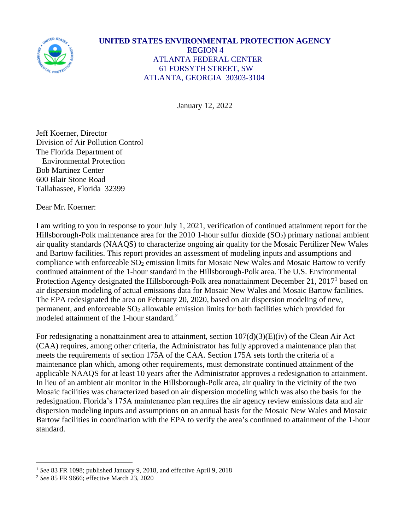

## **UNITED STATES ENVIRONMENTAL PROTECTION AGENCY** REGION 4 ATLANTA FEDERAL CENTER 61 FORSYTH STREET, SW ATLANTA, GEORGIA 30303-3104

January 12, 2022

Jeff Koerner, Director Division of Air Pollution Control The Florida Department of Environmental Protection Bob Martinez Center 600 Blair Stone Road Tallahassee, Florida 32399

Dear Mr. Koerner:

I am writing to you in response to your July 1, 2021, verification of continued attainment report for the Hillsborough-Polk maintenance area for the 2010 1-hour sulfur dioxide (SO<sub>2</sub>) primary national ambient air quality standards (NAAQS) to characterize ongoing air quality for the Mosaic Fertilizer New Wales and Bartow facilities. This report provides an assessment of modeling inputs and assumptions and compliance with enforceable  $SO_2$  emission limits for Mosaic New Wales and Mosaic Bartow to verify continued attainment of the 1-hour standard in the Hillsborough-Polk area. The U.S. Environmental Protection Agency designated the Hillsborough-Polk area nonattainment December 21, 2017<sup>1</sup> based on air dispersion modeling of actual emissions data for Mosaic New Wales and Mosaic Bartow facilities. The EPA redesignated the area on February 20, 2020, based on air dispersion modeling of new, permanent, and enforceable  $SO<sub>2</sub>$  allowable emission limits for both facilities which provided for modeled attainment of the 1-hour standard.<sup>2</sup>

For redesignating a nonattainment area to attainment, section  $107(d)(3)(E)(iv)$  of the Clean Air Act (CAA) requires, among other criteria, the Administrator has fully approved a maintenance plan that meets the requirements of section 175A of the CAA. Section 175A sets forth the criteria of a maintenance plan which, among other requirements, must demonstrate continued attainment of the applicable NAAQS for at least 10 years after the Administrator approves a redesignation to attainment. In lieu of an ambient air monitor in the Hillsborough-Polk area, air quality in the vicinity of the two Mosaic facilities was characterized based on air dispersion modeling which was also the basis for the redesignation. Florida's 175A maintenance plan requires the air agency review emissions data and air dispersion modeling inputs and assumptions on an annual basis for the Mosaic New Wales and Mosaic Bartow facilities in coordination with the EPA to verify the area's continued to attainment of the 1-hour standard.

<sup>&</sup>lt;sup>1</sup> See 83 FR 1098; published January 9, 2018, and effective April 9, 2018

<sup>2</sup> *See* 85 FR 9666; effective March 23, 2020